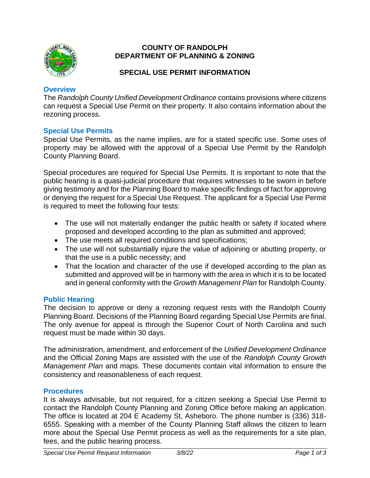

### **COUNTY OF RANDOLPH DEPARTMENT OF PLANNING & ZONING**

## **SPECIAL USE PERMIT INFORMATION**

### **Overview**

The *Randolph County Unified Development Ordinance* contains provisions where citizens can request a Special Use Permit on their property. It also contains information about the rezoning process.

## **Special Use Permits**

Special Use Permits, as the name implies, are for a stated specific use. Some uses of property may be allowed with the approval of a Special Use Permit by the Randolph County Planning Board.

Special procedures are required for Special Use Permits. It is important to note that the public hearing is a quasi-judicial procedure that requires witnesses to be sworn in before giving testimony and for the Planning Board to make specific findings of fact for approving or denying the request for a Special Use Request. The applicant for a Special Use Permit is required to meet the following four tests:

- The use will not materially endanger the public health or safety if located where proposed and developed according to the plan as submitted and approved;
- The use meets all required conditions and specifications;
- The use will not substantially injure the value of adjoining or abutting property, or that the use is a public necessity; and
- That the location and character of the use if developed according to the plan as submitted and approved will be in harmony with the area in which it is to be located and in general conformity with the *Growth Management Plan* for Randolph County.

### **Public Hearing**

The decision to approve or deny a rezoning request rests with the Randolph County Planning Board. Decisions of the Planning Board regarding Special Use Permits are final. The only avenue for appeal is through the Superior Court of North Carolina and such request must be made within 30 days.

The administration, amendment, and enforcement of the *Unified Development Ordinance* and the Official Zoning Maps are assisted with the use of the *Randolph County Growth Management Plan* and maps. These documents contain vital information to ensure the consistency and reasonableness of each request.

### **Procedures**

It is always advisable, but not required, for a citizen seeking a Special Use Permit to contact the Randolph County Planning and Zoning Office before making an application. The office is located at 204 E Academy St, Asheboro. The phone number is (336) 318- 6555. Speaking with a member of the County Planning Staff allows the citizen to learn more about the Special Use Permit process as well as the requirements for a site plan, fees, and the public hearing process.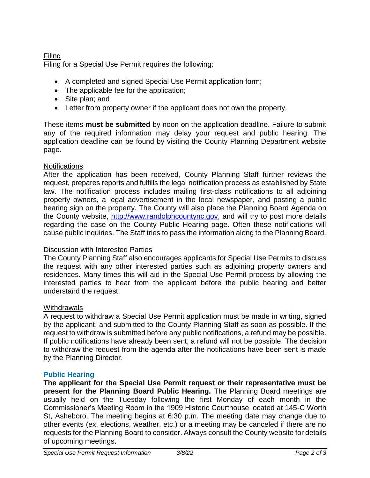# Filing

Filing for a Special Use Permit requires the following:

- A completed and signed Special Use Permit application form;
- The applicable fee for the application;
- Site plan; and
- Letter from property owner if the applicant does not own the property.

These items **must be submitted** by noon on the application deadline. Failure to submit any of the required information may delay your request and public hearing. The application deadline can be found by visiting the County Planning Department website page.

## **Notifications**

After the application has been received, County Planning Staff further reviews the request, prepares reports and fulfills the legal notification process as established by State law. The notification process includes mailing first-class notifications to all adjoining property owners, a legal advertisement in the local newspaper, and posting a public hearing sign on the property. The County will also place the Planning Board Agenda on the County website, [http://www.randolphcountync.gov,](http://www.randolphcountync.gov/) and will try to post more details regarding the case on the County Public Hearing page. Often these notifications will cause public inquiries. The Staff tries to pass the information along to the Planning Board.

## Discussion with Interested Parties

The County Planning Staff also encourages applicants for Special Use Permits to discuss the request with any other interested parties such as adjoining property owners and residences. Many times this will aid in the Special Use Permit process by allowing the interested parties to hear from the applicant before the public hearing and better understand the request.

# **Withdrawals**

A request to withdraw a Special Use Permit application must be made in writing, signed by the applicant, and submitted to the County Planning Staff as soon as possible. If the request to withdraw is submitted before any public notifications, a refund may be possible. If public notifications have already been sent, a refund will not be possible. The decision to withdraw the request from the agenda after the notifications have been sent is made by the Planning Director.

# **Public Hearing**

**The applicant for the Special Use Permit request or their representative must be present for the Planning Board Public Hearing.** The Planning Board meetings are usually held on the Tuesday following the first Monday of each month in the Commissioner's Meeting Room in the 1909 Historic Courthouse located at 145-C Worth St, Asheboro. The meeting begins at 6:30 p.m. The meeting date may change due to other events (ex. elections, weather, etc.) or a meeting may be canceled if there are no requests for the Planning Board to consider. Always consult the County website for details of upcoming meetings.